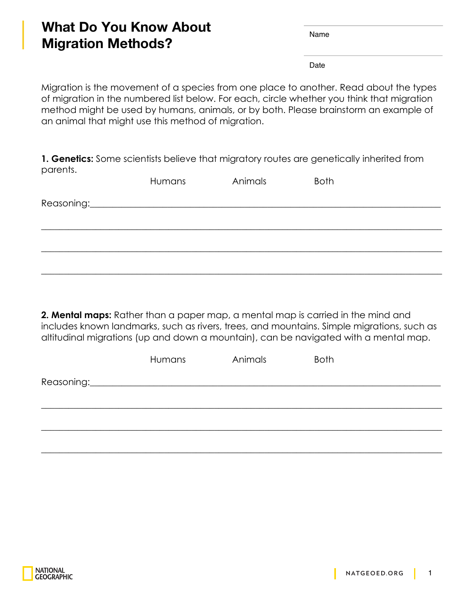## **What Do You Know About Migration Methods?**

Name

Date

Migration is the movement of a species from one place to another. Read about the types of migration in the numbered list below. For each, circle whether you think that migration method might be used by humans, animals, or by both. Please brainstorm an example of an animal that might use this method of migration.

**1. Genetics:** Some scientists believe that migratory routes are genetically inherited from parents.

| Humans                                                                                                                                                                                                                        | Animals | <b>Both</b> |  |
|-------------------------------------------------------------------------------------------------------------------------------------------------------------------------------------------------------------------------------|---------|-------------|--|
| Reasoning: Note and the set of the set of the set of the set of the set of the set of the set of the set of the set of the set of the set of the set of the set of the set of the set of the set of the set of the set of the |         |             |  |
|                                                                                                                                                                                                                               |         |             |  |
|                                                                                                                                                                                                                               |         |             |  |
|                                                                                                                                                                                                                               |         |             |  |
|                                                                                                                                                                                                                               |         |             |  |

**2. Mental maps:** Rather than a paper map, a mental map is carried in the mind and includes known landmarks, such as rivers, trees, and mountains. Simple migrations, such as altitudinal migrations (up and down a mountain), can be navigated with a mental map.

|            | Humans | Animals | <b>Both</b> |
|------------|--------|---------|-------------|
| Reasoning: |        |         |             |
|            |        |         |             |
|            |        |         |             |
|            |        |         |             |

 $\_$  , and the set of the set of the set of the set of the set of the set of the set of the set of the set of the set of the set of the set of the set of the set of the set of the set of the set of the set of the set of th

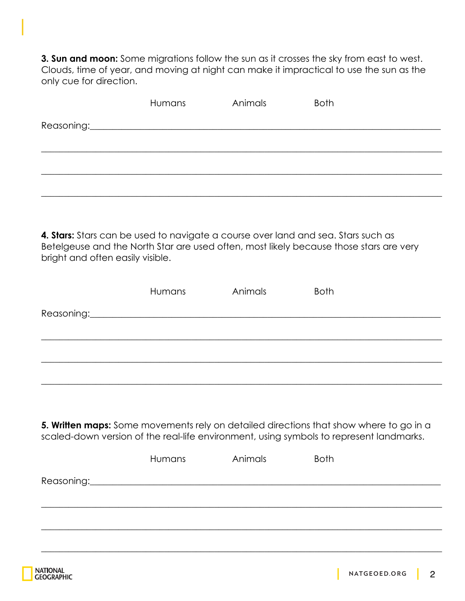**3. Sun and moon:** Some migrations follow the sun as it crosses the sky from east to west. Clouds, time of year, and moving at night can make it impractical to use the sun as the only cue for direction.

| Humans | Animals | <b>Both</b> |
|--------|---------|-------------|
|        |         |             |
|        |         |             |
|        |         |             |
|        |         |             |
|        |         |             |

**4. Stars:** Stars can be used to navigate a course over land and sea. Stars such as Betelgeuse and the North Star are used often, most likely because those stars are very bright and often easily visible.

|                                                                                                                                                                                   | <b>Humans</b> | Animals | <b>Both</b> |  |
|-----------------------------------------------------------------------------------------------------------------------------------------------------------------------------------|---------------|---------|-------------|--|
| Reasoning:                                                                                                                                                                        |               |         |             |  |
|                                                                                                                                                                                   |               |         |             |  |
|                                                                                                                                                                                   |               |         |             |  |
|                                                                                                                                                                                   |               |         |             |  |
|                                                                                                                                                                                   |               |         |             |  |
|                                                                                                                                                                                   |               |         |             |  |
| 5. Written maps: Some movements rely on detailed directions that show where to go in a<br>scaled-down version of the real-life environment, using symbols to represent landmarks. |               |         |             |  |

| Humans | Animals | <b>Both</b> |
|--------|---------|-------------|
|        |         |             |
|        |         |             |
|        |         |             |
|        |         |             |

 $\_$  , and the set of the set of the set of the set of the set of the set of the set of the set of the set of the set of the set of the set of the set of the set of the set of the set of the set of the set of the set of th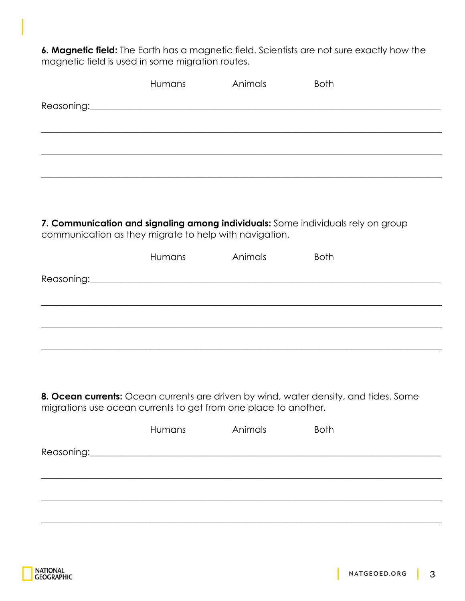6. Magnetic field: The Earth has a magnetic field. Scientists are not sure exactly how the magnetic field is used in some migration routes.

| Humans                                                 | Animals | <b>Both</b>                                                                      |  |
|--------------------------------------------------------|---------|----------------------------------------------------------------------------------|--|
|                                                        |         |                                                                                  |  |
|                                                        |         |                                                                                  |  |
|                                                        |         |                                                                                  |  |
|                                                        |         |                                                                                  |  |
|                                                        |         |                                                                                  |  |
|                                                        |         |                                                                                  |  |
| communication as they migrate to help with navigation. |         | 7. Communication and signaling among individuals: Some individuals rely on group |  |
| Humans                                                 | Animals | <b>Both</b>                                                                      |  |
|                                                        |         |                                                                                  |  |
|                                                        |         |                                                                                  |  |
|                                                        |         |                                                                                  |  |
|                                                        |         |                                                                                  |  |
|                                                        |         |                                                                                  |  |

8. Ocean currents: Ocean currents are driven by wind, water density, and tides. Some migrations use ocean currents to get from one place to another.

| Humans | Animals | <b>Both</b> |
|--------|---------|-------------|
|        |         |             |
|        |         |             |
|        |         |             |
|        |         |             |